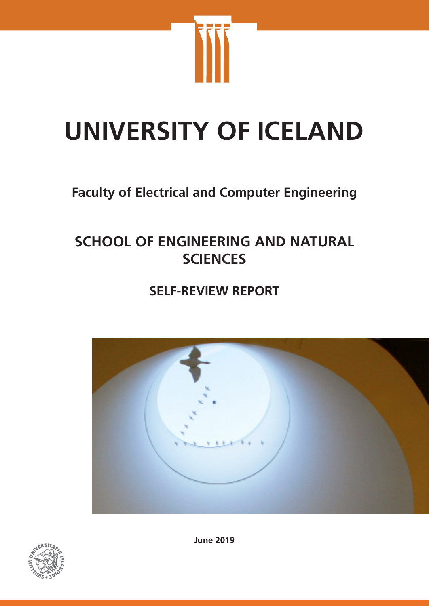

# **UNIVERSITY OF ICELAND**

# **Faculty of Electrical and Computer Engineering**

# **SCHOOL OF ENGINEERING AND NATURAL SCIENCES**

# **SELF-REVIEW REPORT**





**June 2019**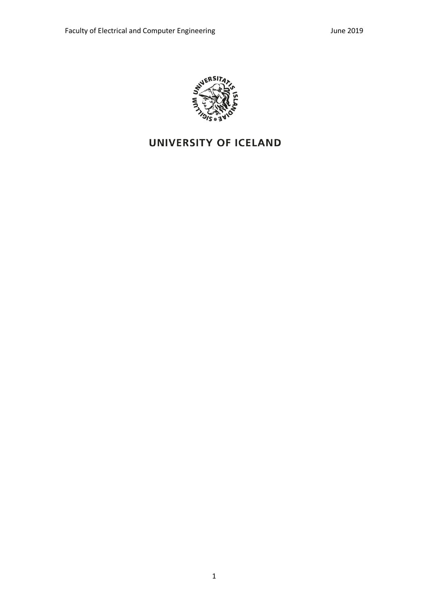

# UNIVERSITY OF ICELAND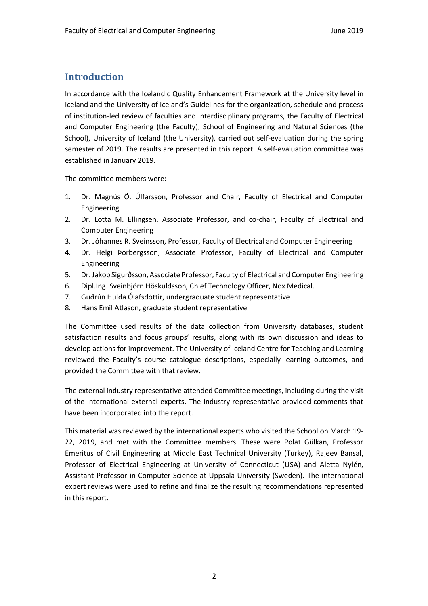## **Introduction**

In accordance with the Icelandic Quality Enhancement Framework at the University level in Iceland and the University of Iceland's Guidelines for the organization, schedule and process of institution-led review of faculties and interdisciplinary programs, the Faculty of Electrical and Computer Engineering (the Faculty), School of Engineering and Natural Sciences (the School), University of Iceland (the University), carried out self-evaluation during the spring semester of 2019. The results are presented in this report. A self-evaluation committee was established in January 2019.

The committee members were:

- 1. Dr. Magnús Ö. Úlfarsson, Professor and Chair, Faculty of Electrical and Computer Engineering
- 2. Dr. Lotta M. Ellingsen, Associate Professor, and co-chair, Faculty of Electrical and Computer Engineering
- 3. Dr. Jóhannes R. Sveinsson, Professor, Faculty of Electrical and Computer Engineering
- 4. Dr. Helgi Þorbergsson, Associate Professor, Faculty of Electrical and Computer Engineering
- 5. Dr. Jakob Sigurðsson, Associate Professor, Faculty of Electrical and Computer Engineering
- 6. Dipl.Ing. Sveinbjörn Höskuldsson, Chief Technology Officer, Nox Medical.
- 7. Guðrún Hulda Ólafsdóttir, undergraduate student representative
- 8. Hans Emil Atlason, graduate student representative

The Committee used results of the data collection from University databases, student satisfaction results and focus groups' results, along with its own discussion and ideas to develop actions for improvement. The University of Iceland Centre for Teaching and Learning reviewed the Faculty's course catalogue descriptions, especially learning outcomes, and provided the Committee with that review.

The external industry representative attended Committee meetings, including during the visit of the international external experts. The industry representative provided comments that have been incorporated into the report.

This material was reviewed by the international experts who visited the School on March 19- 22, 2019, and met with the Committee members. These were Polat Gülkan, Professor Emeritus of Civil Engineering at Middle East Technical University (Turkey), Rajeev Bansal, Professor of Electrical Engineering at University of Connecticut (USA) and Aletta Nylén, Assistant Professor in Computer Science at Uppsala University (Sweden). The international expert reviews were used to refine and finalize the resulting recommendations represented in this report.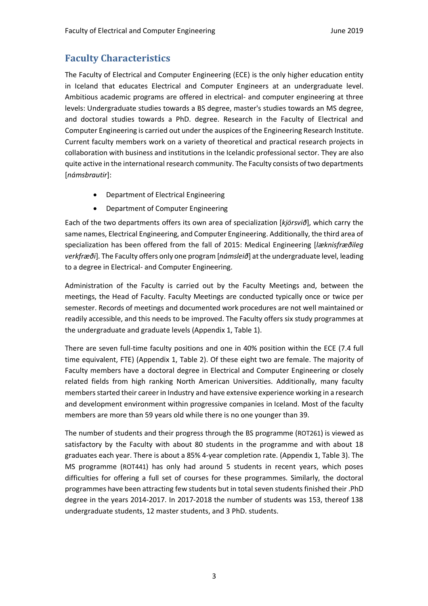# **Faculty Characteristics**

The Faculty of Electrical and Computer Engineering (ECE) is the only higher education entity in Iceland that educates Electrical and Computer Engineers at an undergraduate level. Ambitious academic programs are offered in electrical- and computer engineering at three levels: Undergraduate studies towards a BS degree, master's studies towards an MS degree, and doctoral studies towards a PhD. degree. Research in the Faculty of Electrical and Computer Engineering is carried out under the auspices of the Engineering Research Institute. Current faculty members work on a variety of theoretical and practical research projects in collaboration with business and institutions in the Icelandic professional sector. They are also quite active in the international research community. The Faculty consists of two departments [*námsbrautir*]:

- Department of Electrical Engineering
- Department of Computer Engineering

Each of the two departments offers its own area of specialization [*kjörsvið*], which carry the same names, Electrical Engineering, and Computer Engineering. Additionally, the third area of specialization has been offered from the fall of 2015: Medical Engineering [*læknisfræðileg verkfræði*]. The Faculty offers only one program [*námsleið*] at the undergraduate level, leading to a degree in Electrical- and Computer Engineering.

Administration of the Faculty is carried out by the Faculty Meetings and, between the meetings, the Head of Faculty. Faculty Meetings are conducted typically once or twice per semester. Records of meetings and documented work procedures are not well maintained or readily accessible, and this needs to be improved. The Faculty offers six study programmes at the undergraduate and graduate levels (Appendix 1, Table 1).

There are seven full-time faculty positions and one in 40% position within the ECE (7.4 full time equivalent, FTE) (Appendix 1, Table 2). Of these eight two are female. The majority of Faculty members have a doctoral degree in Electrical and Computer Engineering or closely related fields from high ranking North American Universities. Additionally, many faculty members started their career in Industry and have extensive experience working in a research and development environment within progressive companies in Iceland. Most of the faculty members are more than 59 years old while there is no one younger than 39.

The number of students and their progress through the BS programme (ROT261) is viewed as satisfactory by the Faculty with about 80 students in the programme and with about 18 graduates each year. There is about a 85% 4-year completion rate. (Appendix 1, Table 3). The MS programme (ROT441) has only had around 5 students in recent years, which poses difficulties for offering a full set of courses for these programmes. Similarly, the doctoral programmes have been attracting few students but in total seven students finished their .PhD degree in the years 2014-2017. In 2017-2018 the number of students was 153, thereof 138 undergraduate students, 12 master students, and 3 PhD. students.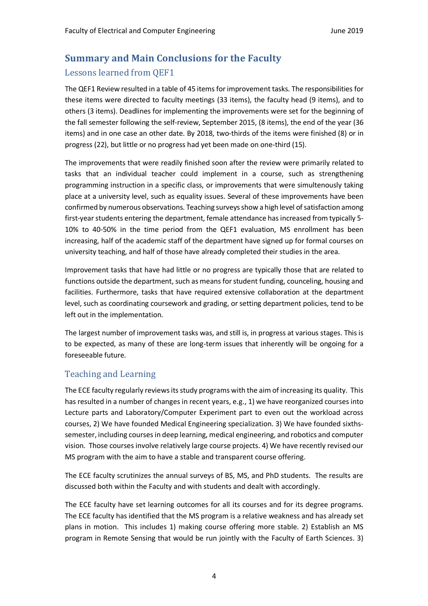# **Summary and Main Conclusions for the Faculty**

## Lessons learned from QEF1

The QEF1 Review resulted in a table of 45 items for improvement tasks. The responsibilities for these items were directed to faculty meetings (33 items), the faculty head (9 items), and to others (3 items). Deadlines for implementing the improvements were set for the beginning of the fall semester following the self-review, September 2015, (8 items), the end of the year (36 items) and in one case an other date. By 2018, two-thirds of the items were finished (8) or in progress (22), but little or no progress had yet been made on one-third (15).

The improvements that were readily finished soon after the review were primarily related to tasks that an individual teacher could implement in a course, such as strengthening programming instruction in a specific class, or improvements that were simultenously taking place at a university level, such as equality issues. Several of these improvements have been confirmed by numerous observations. Teaching surveys show a high level of satisfaction among first-year students entering the department, female attendance has increased from typically 5- 10% to 40-50% in the time period from the QEF1 evaluation, MS enrollment has been increasing, half of the academic staff of the department have signed up for formal courses on university teaching, and half of those have already completed their studies in the area.

Improvement tasks that have had little or no progress are typically those that are related to functions outside the department, such as means for student funding, counceling, housing and facilities. Furthermore, tasks that have required extensive collaboration at the department level, such as coordinating coursework and grading, or setting department policies, tend to be left out in the implementation.

The largest number of improvement tasks was, and still is, in progress at various stages. This is to be expected, as many of these are long-term issues that inherently will be ongoing for a foreseeable future.

## Teaching and Learning

The ECE faculty regularly reviews its study programs with the aim of increasing its quality. This has resulted in a number of changes in recent years, e.g., 1) we have reorganized courses into Lecture parts and Laboratory/Computer Experiment part to even out the workload across courses, 2) We have founded Medical Engineering specialization. 3) We have founded sixthssemester, including courses in deep learning, medical engineering, and robotics and computer vision. Those courses involve relatively large course projects. 4) We have recently revised our MS program with the aim to have a stable and transparent course offering.

The ECE faculty scrutinizes the annual surveys of BS, MS, and PhD students. The results are discussed both within the Faculty and with students and dealt with accordingly.

The ECE faculty have set learning outcomes for all its courses and for its degree programs. The ECE faculty has identified that the MS program is a relative weakness and has already set plans in motion. This includes 1) making course offering more stable. 2) Establish an MS program in Remote Sensing that would be run jointly with the Faculty of Earth Sciences. 3)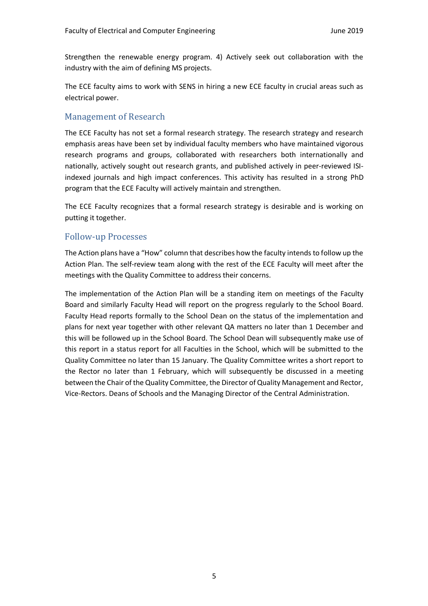Strengthen the renewable energy program. 4) Actively seek out collaboration with the industry with the aim of defining MS projects.

The ECE faculty aims to work with SENS in hiring a new ECE faculty in crucial areas such as electrical power.

## Management of Research

The ECE Faculty has not set a formal research strategy. The research strategy and research emphasis areas have been set by individual faculty members who have maintained vigorous research programs and groups, collaborated with researchers both internationally and nationally, actively sought out research grants, and published actively in peer-reviewed ISIindexed journals and high impact conferences. This activity has resulted in a strong PhD program that the ECE Faculty will actively maintain and strengthen.

The ECE Faculty recognizes that a formal research strategy is desirable and is working on putting it together.

## Follow-up Processes

The Action plans have a "How" column that describes how the faculty intends to follow up the Action Plan. The self-review team along with the rest of the ECE Faculty will meet after the meetings with the Quality Committee to address their concerns.

The implementation of the Action Plan will be a standing item on meetings of the Faculty Board and similarly Faculty Head will report on the progress regularly to the School Board. Faculty Head reports formally to the School Dean on the status of the implementation and plans for next year together with other relevant QA matters no later than 1 December and this will be followed up in the School Board. The School Dean will subsequently make use of this report in a status report for all Faculties in the School, which will be submitted to the Quality Committee no later than 15 January. The Quality Committee writes a short report to the Rector no later than 1 February, which will subsequently be discussed in a meeting between the Chair of the Quality Committee, the Director of Quality Management and Rector, Vice-Rectors. Deans of Schools and the Managing Director of the Central Administration.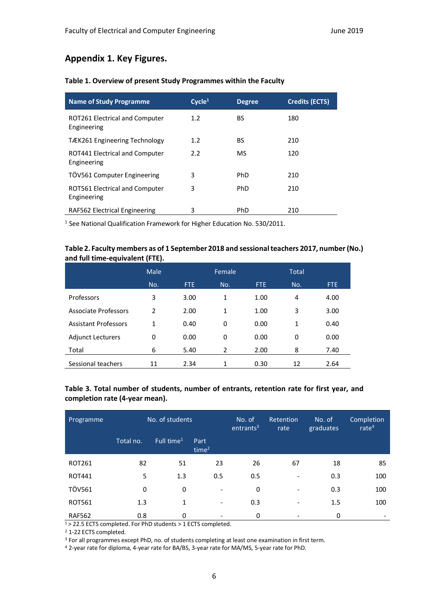## **Appendix 1. Key Figures.**

| <b>Name of Study Programme</b>                | Cycle <sup>1</sup> | <b>Degree</b> | <b>Credits (ECTS)</b> |
|-----------------------------------------------|--------------------|---------------|-----------------------|
| ROT261 Electrical and Computer<br>Engineering | 1.2                | BS            | 180                   |
| TÆK261 Engineering Technology                 | 1.2                | BS            | 210                   |
| ROT441 Electrical and Computer<br>Engineering | 2.2                | MS            | 120                   |
| TÖV561 Computer Engineering                   | 3                  | PhD           | 210                   |
| ROT561 Electrical and Computer<br>Engineering | 3                  | PhD           | 210                   |
| RAF562 Electrical Engineering                 | 3                  | PhD           | 210                   |

#### **Table 1. Overview of present Study Programmes within the Faculty**

<sup>1</sup> See National Qualification Framework for Higher Education No. 530/2011.

#### **Table 2. Faculty members as of 1 September 2018 and sessional teachers 2017, number (No.) and full time-equivalent (FTE).**

|                             | Male          |            | Female |      | Total |      |
|-----------------------------|---------------|------------|--------|------|-------|------|
|                             | No.           | <b>FTE</b> | No.    | FTE. | No.   | FTE. |
| Professors                  | 3             | 3.00       | 1      | 1.00 | 4     | 4.00 |
| <b>Associate Professors</b> | $\mathcal{P}$ | 2.00       | 1      | 1.00 | 3     | 3.00 |
| <b>Assistant Professors</b> | 1             | 0.40       | 0      | 0.00 | 1     | 0.40 |
| <b>Adjunct Lecturers</b>    | 0             | 0.00       | 0      | 0.00 | 0     | 0.00 |
| Total                       | 6             | 5.40       | 2      | 2.00 | 8     | 7.40 |
| Sessional teachers          | 11            | 2.34       | 1      | 0.30 | 12    | 2.64 |

#### **Table 3. Total number of students, number of entrants, retention rate for first year, and completion rate (4-year mean).**

| Programme     | No. of students |                        |                           | No. of<br>entrants <sup>31</sup> | Retention<br>rate        | No. of<br>graduates | Completion<br>rate $4$ |
|---------------|-----------------|------------------------|---------------------------|----------------------------------|--------------------------|---------------------|------------------------|
|               | Total no.       | Full time <sup>1</sup> | Part<br>time <sup>2</sup> |                                  |                          |                     |                        |
| ROT261        | 82              | 51                     | 23                        | 26                               | 67                       | 18                  | 85                     |
| <b>ROT441</b> | 5               | 1.3                    | 0.5                       | 0.5                              | $\overline{\phantom{a}}$ | 0.3                 | 100                    |
| <b>TÖV561</b> | 0               | 0                      | -                         | 0                                |                          | 0.3                 | 100                    |
| <b>ROT561</b> | 1.3             | 1                      | -                         | 0.3                              | $\overline{\phantom{a}}$ | 1.5                 | 100                    |
| <b>RAF562</b> | 0.8             | 0                      |                           | 0                                |                          | 0                   |                        |

 $1 > 22.5$  ECTS completed. For PhD students  $> 1$  ECTS completed.

<sup>2</sup> 1-22 ECTS completed.

<sup>3</sup> For all programmes except PhD, no. of students completing at least one examination in first term.

<sup>4</sup> 2-year rate for diploma, 4-year rate for BA/BS, 3-year rate for MA/MS, 5-year rate for PhD.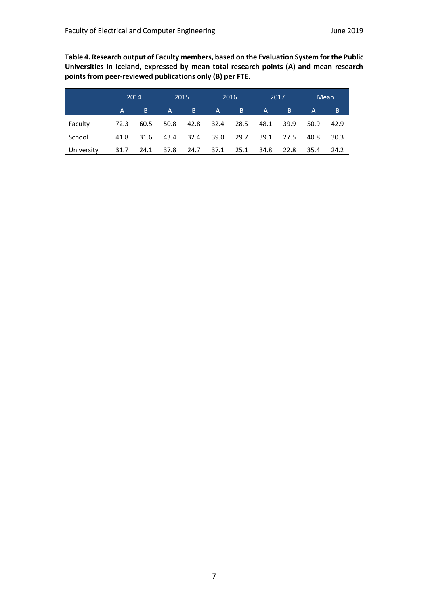**Table 4. Research output of Faculty members, based on the Evaluation System for the Public Universities in Iceland, expressed by mean total research points (A) and mean research points from peer-reviewed publications only (B) per FTE.**

|            | 2014 |      | 2015           |      | 2016         |      | 2017         |       |      | Mean |
|------------|------|------|----------------|------|--------------|------|--------------|-------|------|------|
|            | A    | B    | $\mathsf{A}$   | B.   | $\mathsf{A}$ | B.   | $\mathsf{A}$ | B.    | A    | B    |
| Faculty    | 72.3 | 60.5 | 50.8           | 42.8 | 32.4         | 28.5 | 48.1         | -39.9 | 50.9 | 42.9 |
| School     | 41.8 | 31.6 | 43.4           | 32.4 | 39.0         | 29.7 | 39.1         | 27.5  | 40.8 | 30.3 |
| University | 31.7 |      | 24.1 37.8 24.7 |      | 37.1         | 25.1 | 34.8         | 22.8  | 35.4 | 24.2 |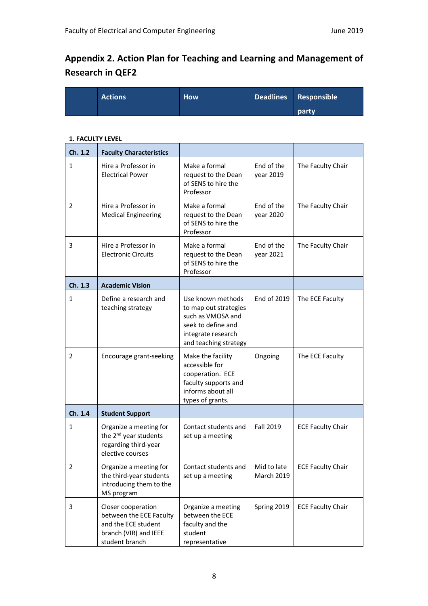# **Appendix 2. Action Plan for Teaching and Learning and Management of Research in QEF2**

| <b>Actions</b> | <b>How</b> | Deadlines Responsible |
|----------------|------------|-----------------------|
|                |            | <b>party</b>          |

#### **1. FACULTY LEVEL**

| Ch. 1.2      | <b>Faculty Characteristics</b>                                                                                  |                                                                                                                                      |                                  |                          |
|--------------|-----------------------------------------------------------------------------------------------------------------|--------------------------------------------------------------------------------------------------------------------------------------|----------------------------------|--------------------------|
| 1            | Hire a Professor in<br><b>Electrical Power</b>                                                                  | Make a formal<br>request to the Dean<br>of SENS to hire the<br>Professor                                                             | End of the<br>year 2019          | The Faculty Chair        |
| 2            | Hire a Professor in<br><b>Medical Engineering</b>                                                               | Make a formal<br>request to the Dean<br>of SENS to hire the<br>Professor                                                             | End of the<br>year 2020          | The Faculty Chair        |
| 3            | Hire a Professor in<br><b>Electronic Circuits</b>                                                               | Make a formal<br>request to the Dean<br>of SENS to hire the<br>Professor                                                             | End of the<br>year 2021          | The Faculty Chair        |
| Ch. 1.3      | <b>Academic Vision</b>                                                                                          |                                                                                                                                      |                                  |                          |
| $\mathbf{1}$ | Define a research and<br>teaching strategy                                                                      | Use known methods<br>to map out strategies<br>such as VMOSA and<br>seek to define and<br>integrate research<br>and teaching strategy | End of 2019                      | The ECE Faculty          |
| 2            | Encourage grant-seeking                                                                                         | Make the facility<br>accessible for<br>cooperation. ECE<br>faculty supports and<br>informs about all<br>types of grants.             | Ongoing                          | The ECE Faculty          |
| Ch. 1.4      | <b>Student Support</b>                                                                                          |                                                                                                                                      |                                  |                          |
| 1            | Organize a meeting for<br>the 2 <sup>nd</sup> year students<br>regarding third-year<br>elective courses         | Contact students and<br>set up a meeting                                                                                             | <b>Fall 2019</b>                 | <b>ECE Faculty Chair</b> |
| z            | Organize a meeting for<br>the third-year students<br>introducing them to the<br>MS program                      | Contact students and<br>set up a meeting                                                                                             | Mid to late<br><b>March 2019</b> | <b>ECE Faculty Chair</b> |
| 3            | Closer cooperation<br>between the ECE Faculty<br>and the ECE student<br>branch (VIR) and IEEE<br>student branch | Organize a meeting<br>between the ECE<br>faculty and the<br>student<br>representative                                                | Spring 2019                      | <b>ECE Faculty Chair</b> |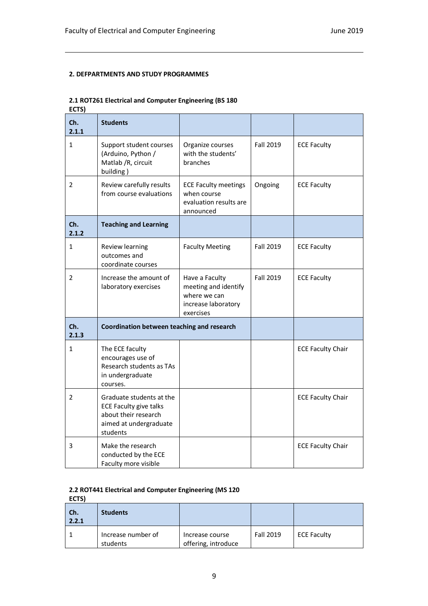#### **2. DEFPARTMENTS AND STUDY PROGRAMMES**

#### **2.1 ROT261 Electrical and Computer Engineering (BS 180**

**ECTS)**

| Ch.<br>2.1.1   | <b>Students</b>                                                                                                         |                                                                                            |                  |                          |
|----------------|-------------------------------------------------------------------------------------------------------------------------|--------------------------------------------------------------------------------------------|------------------|--------------------------|
| $\mathbf{1}$   | Support student courses<br>(Arduino, Python /<br>Matlab / R, circuit<br>building)                                       | Organize courses<br>with the students'<br>branches                                         | <b>Fall 2019</b> | <b>ECE Faculty</b>       |
| $\overline{2}$ | Review carefully results<br>from course evaluations                                                                     | <b>ECE Faculty meetings</b><br>when course<br>evaluation results are<br>announced          | Ongoing          | <b>ECE Faculty</b>       |
| Ch.<br>2.1.2   | <b>Teaching and Learning</b>                                                                                            |                                                                                            |                  |                          |
| $\mathbf{1}$   | Review learning<br>outcomes and<br>coordinate courses                                                                   | <b>Faculty Meeting</b>                                                                     | <b>Fall 2019</b> | <b>ECE Faculty</b>       |
| $\mathcal{P}$  | Increase the amount of<br>laboratory exercises                                                                          | Have a Faculty<br>meeting and identify<br>where we can<br>increase laboratory<br>exercises | <b>Fall 2019</b> | <b>ECE Faculty</b>       |
| Ch.<br>2.1.3   | Coordination between teaching and research                                                                              |                                                                                            |                  |                          |
| $\mathbf{1}$   | The ECE faculty<br>encourages use of<br>Research students as TAs<br>in undergraduate<br>courses.                        |                                                                                            |                  | <b>ECE Faculty Chair</b> |
| 2              | Graduate students at the<br><b>ECE Faculty give talks</b><br>about their research<br>aimed at undergraduate<br>students |                                                                                            |                  | <b>ECE Faculty Chair</b> |
| 3              | Make the research<br>conducted by the ECE<br>Faculty more visible                                                       |                                                                                            |                  | <b>ECE Faculty Chair</b> |

#### **2.2 ROT441 Electrical and Computer Engineering (MS 120**

**ECTS)**

| Ch.<br>2.2.1 | <b>Students</b>                |                                        |                  |                    |
|--------------|--------------------------------|----------------------------------------|------------------|--------------------|
|              | Increase number of<br>students | Increase course<br>offering, introduce | <b>Fall 2019</b> | <b>ECE Faculty</b> |